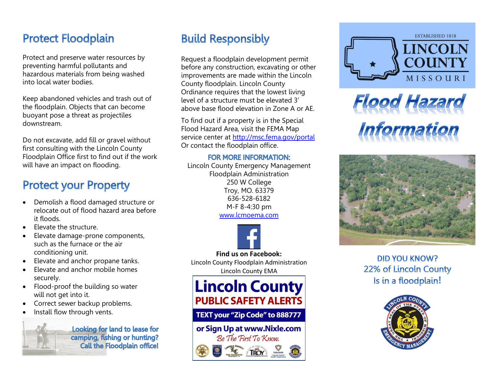### **Protect Floodplain**

Protect and preserve water resources by preventing harmful pollutants and hazardous materials from being washed into local water bodies.

Keep abandoned vehicles and trash out of the floodplain. Objects that can become buoyant pose a threat as projectiles downstream.

Do not excavate, add fill or gravel without first consulting with the Lincoln County Floodplain Office first to find out if the work will have an impact on flooding.

### **Protect your Property**

- Demolish a flood damaged structure or relocate out of flood hazard area before it floods.
- Elevate the structure.
- Elevate damage-prone components, such as the furnace or the air conditioning unit.
- Elevate and anchor propane tanks.
- Elevate and anchor mobile homes securely .
- Flood -proof the building so water will not get into it.
- Correct sewer backup problems.
- Install flow through vents.



Looking for land to lease for camping, fishing or hunting? **Call the Floodplain office!** 

# **Build Responsibly**

Request a floodplain development permit before any construction, excavating or other improvements are made within the Lincoln County floodplain . Lincoln County Ordinance requires that the lowest living level of a structure must be elevated 3' above base flood elevation in Zone A or AE.

To find out if a property is in the Special Flood Hazard Area, visit the FEMA Map service center at<http://msc.fema.gov/portal> Or contact the floodplain office.

#### **FOR MORE INFORMATION:**

Lincoln County Emergency Management Floodplain Administration 250 W College Troy, MO. 63379 636 -528 -6182 M -F 8 -4:30 pm [www.lcmoema.com](http://www.lcmoema.com/)



Lincoln County Floodplain Administration Lincoln County EMA



#### TEXT your "Zip Code" to 888777

### or Sign Up at www.Nixle.com Be The First To Know.







### **DID YOU KNOW?** 22% of Lincoln County **!**